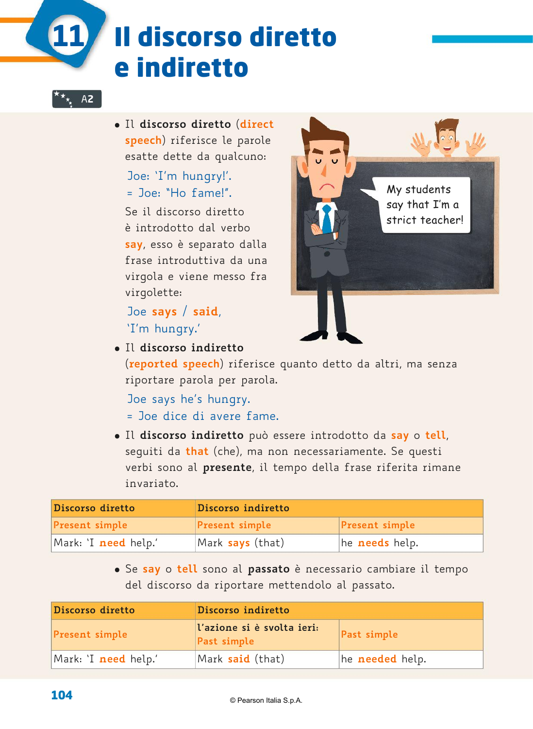# Il discorso diretto e indiretto

## U**12** A**2**

**11**

� Il **discorso diretto** (**direct speech**) riferisce le parole esatte dette da qualcuno:

Joe: 'I'm hungry!'.  $=$  Joe: "Ho fame!".

 Se il discorso diretto è introdotto dal verbo **say**, esso è separato dalla frase introduttiva da una virgola e viene messo fra virgolette:

Joe **says** / **said**, 'I'm hungry.'



� Il **discorso indiretto**

(**reported speech**) riferisce quanto detto da altri, ma senza riportare parola per parola.

Joe says he's hungry.

- = Joe dice di avere fame.
- � Il **discorso indiretto** può essere introdotto da **say** o **tell**, seguiti da **that** (che), ma non necessariamente. Se questi verbi sono al **presente**, il tempo della frase riferita rimane invariato.

| Discorso diretto            | Discorso indiretto    |                       |
|-----------------------------|-----------------------|-----------------------|
| <b>Present simple</b>       | <b>Present simple</b> | <b>Present simple</b> |
| Mark: `I <b>need</b> help.' | Mark says (that)      | he <b>needs</b> help. |

� Se **say** o **tell** sono al **passato** è necessario cambiare il tempo del discorso da riportare mettendolo al passato.

| Discorso diretto            | Discorso indiretto                        |                        |
|-----------------------------|-------------------------------------------|------------------------|
| <b>Present simple</b>       | l'azione si è svolta ieri:<br>Past simple | Past simple            |
| Mark: `I <b>need</b> help.' | Mark said (that)                          | he <b>needed</b> help. |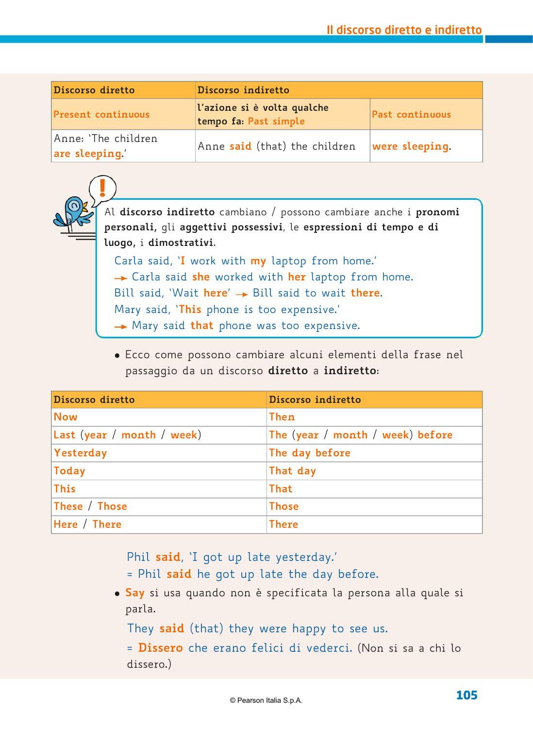| Discorso diretto                     | Discorso indiretto                                   |                   |  |
|--------------------------------------|------------------------------------------------------|-------------------|--|
| <b>Present continuous</b>            | l'azione si è volta qualche<br>tempo fa: Past simple | Past continuous   |  |
| Anne: 'The children<br>are sleeping' | Anne said (that) the children                        | $ were$ sleeping. |  |



Al **discorso indiretto** cambiano / possono cambiare anche i **pronomi personali,** gli **aggettivi possessivi**, le **espressioni di tempo e di luogo,** i **dimostrativi**.

Carla said, '**I** work with **my** laptop from home.' Carla said **she** worked with **her** laptop from home. Bill said, 'Wait here'  $\rightarrow$  Bill said to wait there. Mary said, '**This** phone is too expensive.' Mary said **that** phone was too expensive.

� Ecco come possono cambiare alcuni elementi della frase nel passaggio da un discorso **diretto** a **indiretto**:

| Discorso diretto           | Discorso indiretto               |
|----------------------------|----------------------------------|
| <b>Now</b>                 | <b>Then</b>                      |
| Last (year / month / week) | The (year / month / week) before |
| Yesterday                  | The day before                   |
| <b>Today</b>               | That day                         |
| <b>This</b>                | <b>That</b>                      |
| These / Those              | <b>Those</b>                     |
| Here / There               | <b>There</b>                     |

Phil **said**, 'I got up late yesterday.'

= Phil **said** he got up late the day before.

� **Say** si usa quando non è specificata la persona alla quale si parla.

They **said** (that) they were happy to see us.

= **Dissero** che erano felici di vederci. (Non si sa a chi lo dissero.)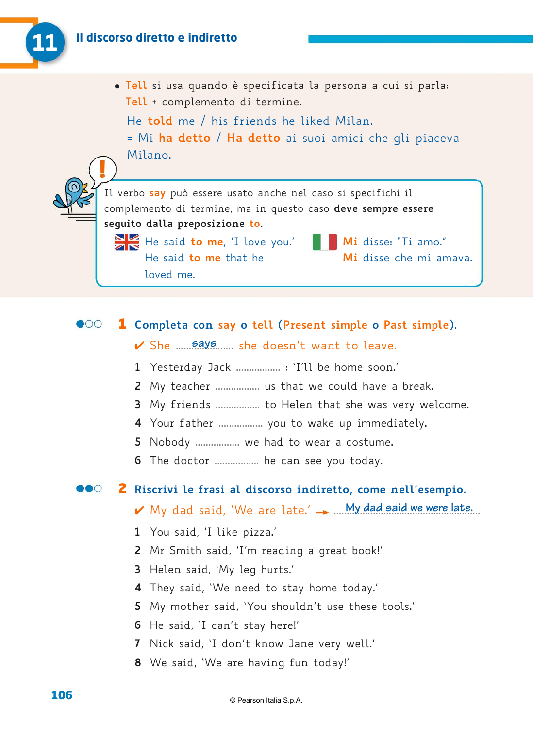

� **Tell** si usa quando è specificata la persona a cui si parla: **Tell** + complemento di termine.

He **told** me / his friends he liked Milan. = Mi **ha detto** / **Ha detto** ai suoi amici che gli piaceva Milano.

Il verbo **say** può essere usato anche nel caso si specifichi il complemento di termine, ma in questo caso **deve sempre essere seguito dalla preposizione to.** 

He said **to me**, 'I love you.' **Mi** disse: "Ti amo." He said **to me** that he **Mi** disse che mi amava. loved me.

### $\bullet$ 00 1 **Completa con say o tell (Present simple o Past simple).**

- ✔ She <u>.....says</u> she doesn't want to leave.
- **1** Yesterday Jack ................. : 'I'll be home soon.'
- **2** My teacher ................. us that we could have a break.
- **3** My friends ................. to Helen that she was very welcome.
- **4** Your father ................. you to wake up immediately.
- **5** Nobody ................. we had to wear a costume.
- **6** The doctor ................. he can see you today.

#### DOO 2 **Riscrivi le frasi al discorso indiretto, come nell'esempio.**

- ✔ My dad said, 'We are late.' → .... My dad said we were late...
- **1** You said, 'I like pizza.'
- **2** Mr Smith said, 'I'm reading a great book!'
- **3** Helen said, 'My leg hurts.'
- **4** They said, 'We need to stay home today.'
- **5** My mother said, 'You shouldn't use these tools.'
- **6** He said, 'I can't stay here!'
- **7** Nick said, 'I don't know Jane very well.'
- **8** We said, 'We are having fun today!'